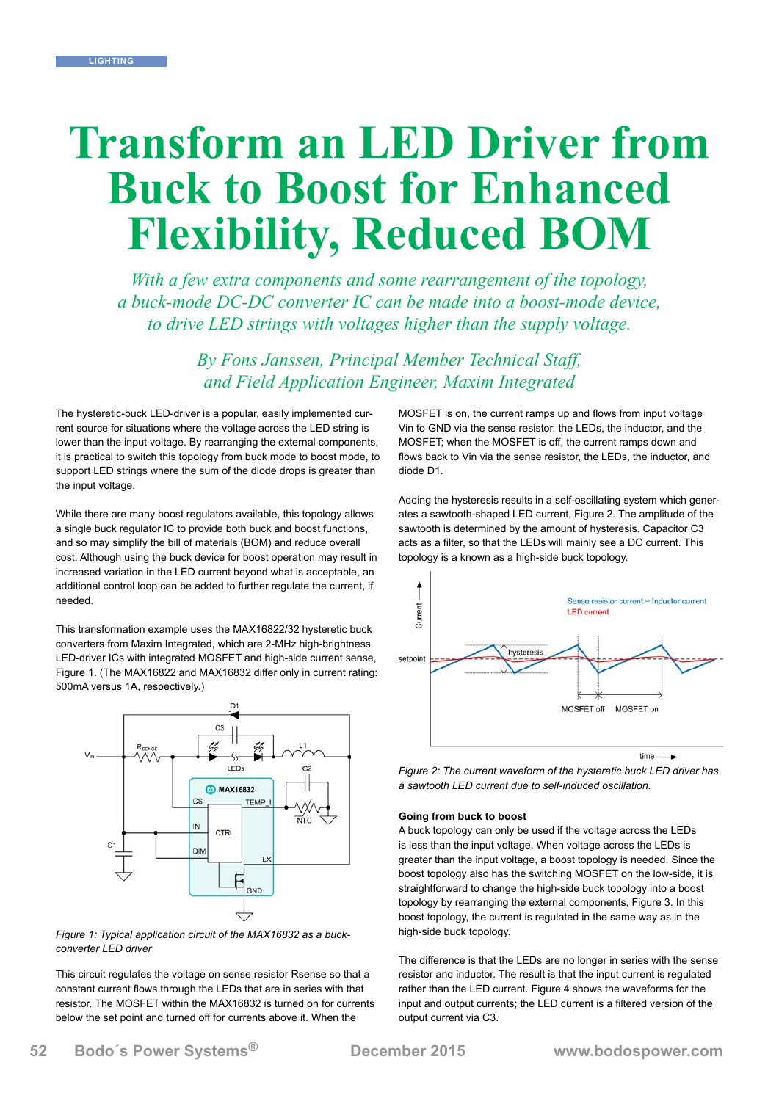# **Transform an LED Driver from Buck to Boost for Enhanced Flexibility, Reduced BOM**

*With a few extra components and some rearrangement of the topology, a buck-mode DC-DC converter IC can be made into a boost-mode device, to drive LED strings with voltages higher than the supply voltage.*

> *By Fons Janssen, Principal Member Technical Staff, and Field Application Engineer, Maxim Integrated*

The hysteretic-buck LED-driver is a popular, easily implemented current source for situations where the voltage across the LED string is lower than the input voltage. By rearranging the external components, it is practical to switch this topology from buck mode to boost mode, to support LED strings where the sum of the diode drops is greater than the input voltage.

While there are many boost regulators available, this topology allows a single buck regulator IC to provide both buck and boost functions, and so may simplify the bill of materials (BOM) and reduce overall cost. Although using the buck device for boost operation may result in increased variation in the LED current beyond what is acceptable, an additional control loop can be added to further regulate the current, if needed.

This transformation example uses the MAX16822/32 hysteretic buck converters from Maxim Integrated, which are 2-MHz high-brightness LED-driver ICs with integrated MOSFET and high-side current sense, Figure 1. (The MAX16822 and MAX16832 differ only in current rating: 500mA versus 1A, respectively.)





This circuit regulates the voltage on sense resistor Rsense so that a constant current flows through the LEDs that are in series with that resistor. The MOSFET within the MAX16832 is turned on for currents below the set point and turned off for currents above it. When the

MOSFET is on, the current ramps up and flows from input voltage Vin to GND via the sense resistor, the LEDs, the inductor, and the MOSFET; when the MOSFET is off, the current ramps down and flows back to Vin via the sense resistor, the LEDs, the inductor, and diode D1.

Adding the hysteresis results in a self-oscillating system which generates a sawtooth-shaped LED current, Figure 2. The amplitude of the sawtooth is determined by the amount of hysteresis. Capacitor C3 acts as a filter, so that the LEDs will mainly see a DC current. This topology is a known as a high-side buck topology.



*Figure 2: The current waveform of the hysteretic buck LED driver has a sawtooth LED current due to self-induced oscillation.*

# **Going from buck to boost**

A buck topology can only be used if the voltage across the LEDs is less than the input voltage. When voltage across the LEDs is greater than the input voltage, a boost topology is needed. Since the boost topology also has the switching MOSFET on the low-side, it is straightforward to change the high-side buck topology into a boost topology by rearranging the external components, Figure 3. In this boost topology, the current is regulated in the same way as in the high-side buck topology.

The difference is that the LEDs are no longer in series with the sense resistor and inductor. The result is that the input current is regulated rather than the LED current. Figure 4 shows the waveforms for the input and output currents; the LED current is a filtered version of the output current via C3.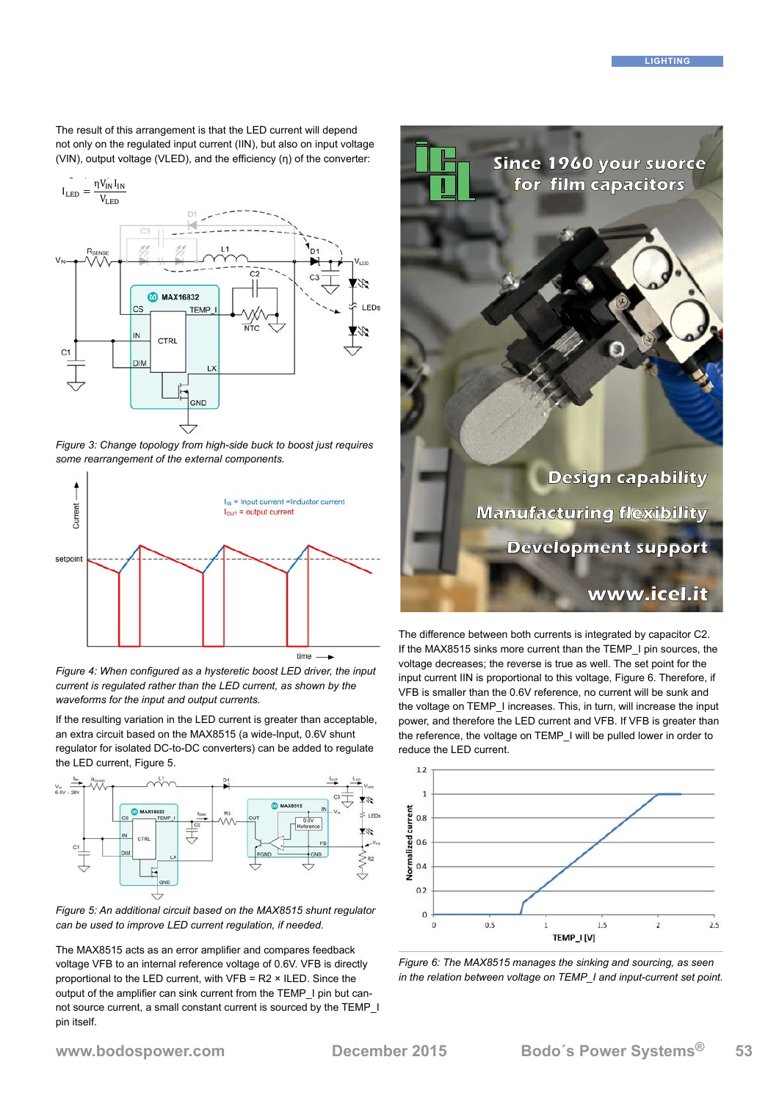The result of this arrangement is that the LED current will depend not only on the regulated input current (IIN), but also on input voltage (VIN), output voltage (VLED), and the efficiency (η) of the converter:



**LED current-control loop minimizes variations** *Figure 3: Change topology from high-side buck to boost just requires some rearrangement of the external components.*

![](_page_1_Figure_4.jpeg)

 $T_{\rm eff}$  correctly configure the boost circuit, sense resistor  $T_{\rm eff}$  shown so that the maximum maximum maximum maximum maximum maximum maximum maximum maximum maximum maximum maximum maximum maximum maximum maximum max current is regulated rather than the LED current, as shown by the waveforms for the input and output currents. *Figure 4: When configured as a hysteretic boost LED driver, the input* 

If the resulting variation in the LED current is greater than acceptable, an extra circuit based on the MAX8515 (a wide-Input, 0.6V shunt The additional sense response to a sense response to a sense response to a sense restrict the sense results to regulator for isolated DC-to-DC converters) can be added to regulate the LED current, Figure 5.

![](_page_1_Figure_7.jpeg)

*Figure 5: An additional circuit based on the MAX8515 shunt regulator can be used to improve LED current regulation, if needed.*

The MAX8515 acts as an error amplifier and compares feedback voltage VFB to an internal reference voltage of 0.6V. VFB is directly proportional to the LED current, with VFB = R2 × ILED. Since the output of the amplifier can sink current from the TEMP\_I pin but cannot source current, a small constant current is sourced by the TEMP\_I pin itself.

![](_page_1_Picture_10.jpeg)

The difference between both currents is integrated by capacitor C2. If the MAX8515 sinks more current than the TEMP\_I pin sources, the voltage decreases; the reverse is true as well. The set point for the input current IIN is proportional to this voltage, Figure 6. Therefore, if VFB is smaller than the 0.6V reference, no current will be sunk and the voltage on TEMP\_I increases. This, in turn, will increase the input power, and therefore the LED current and VFB. If VFB is greater than the reference, the voltage on TEMP\_I will be pulled lower in order to reduce the LED current.

![](_page_1_Figure_12.jpeg)

*Figure 6: The MAX8515 manages the sinking and sourcing, as seen in the relation between voltage on TEMP\_I and input-current set point.*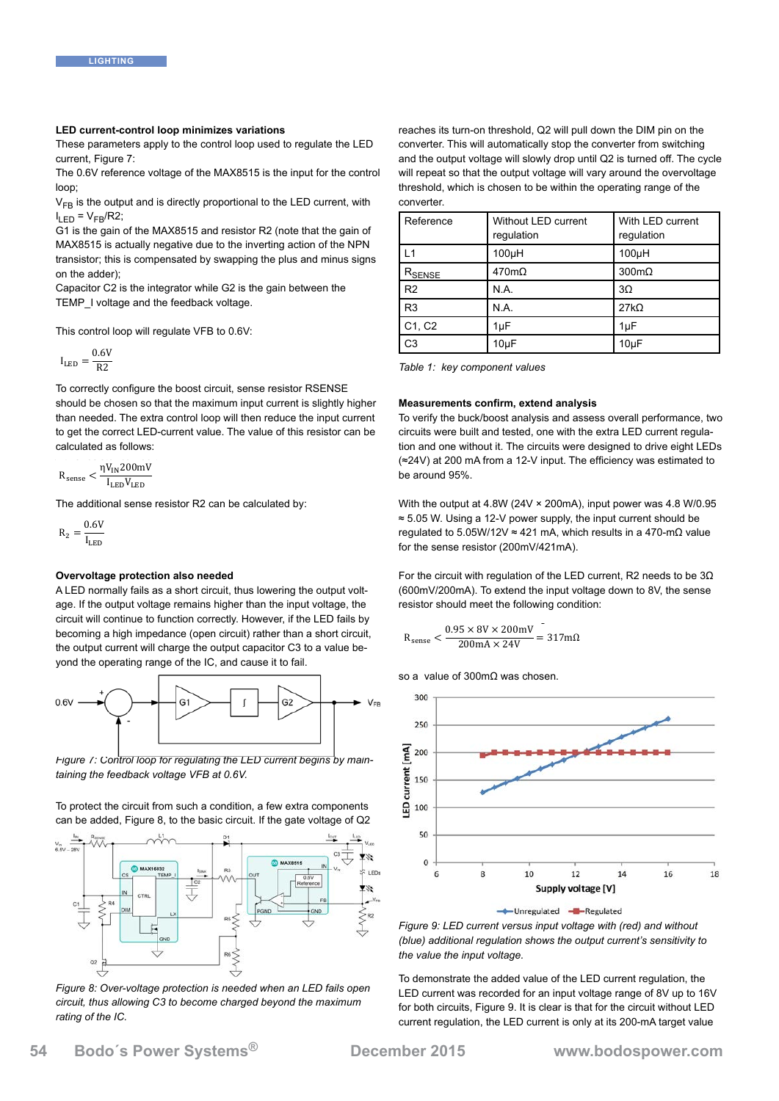#### LED current-control loop minimizes variations LED current-control loop minimizes variations

These parameters apply to the control loop used to regulate the LED current, Figure 7:

The 0.6V reference voltage of the MAX8515 is the input for the control loop; **LED current-control current**  $\text{loop:}$ Figure 6: The Government and sourcing and sinking and sourcing and sourcing, and  $\frac{1}{2}$ 

 $V_{FB}$  is the output and is directly proportional to the LED current, with  $I_{LED} = V_{FB} / R2;$ 

'LED Tiv FB' 'NA'.<br>G1 is the gain of the MAX8515 and resistor R2 (note that the gain of MAX8515 is actually negative due to the inverting action of the NPN transistor; this is compensated by swapping the plus and minus signs on the adder); G1 is the gain of the MAX8515 and resistor R2 (note that to  $\alpha$  is the  $\alpha$  is the Max and resistor  $\alpha$  is actually negative due to  $\alpha$  and  $\alpha$  interests of  $\alpha$ on the accer); this is compensated by swapping the plus and minus signs on  $\mathbb{R}$  and minus signs on  $\mathbb{R}$  and minus signs on  $\mathbb{R}$  and minus signs on  $\mathbb{R}$  and minus signs on  $\mathbb{R}$  and minus signs on  $\mathbb{R$ 

Capacitor C2 is the integrator while G2 is the gain between the  $\frac{1}{2}$ TEMP\_I voltage and the feedback voltage.

This control loop will regulate VFB to 0.6V:

$$
I_{LED} = \frac{0.6V}{R2}
$$

To correctly configure the boost circuit, sense resistor RSENSE should be chosen so that the maximum input current is slightly higher than needed. The extra control loop will then reduce the input current to get the correct LED-current value. The value of this resistor can be calculated as follows:

$$
R_{\rm sense} < \frac{\eta V_{\rm IN} 200 mV}{I_{\rm LED} V_{\rm LED}}
$$

The additional sense resistor R2 can be calculated by:

 $R_2 = \frac{0.6V}{I_{LED}}$ 

## **Overvoltage protection also needed**

A LED normally fails as a short circuit, thus lowering the output volt-<br>
(600m age. If the output voltage remains higher than the input voltage, the output capacitor C3 to a value of the operation of the IC, and cause it to fail. circuit will continue to function correctly. However, if the LED fails by  $0.05 \times 91 \times 200$  mV becoming a high impedance (open circuit) rather than a short circuit, the output current will charge the output capacitor C3 to a value be-<br>so a value of 300mΩ was converted the 100mg will slowe it to 500mg. yond the operating range of the IC, and cause it to fail. threshold, which is chosen to be within the operating range of the converter.

![](_page_2_Figure_15.jpeg)

 $\frac{1}{2}$  for  $\frac{1}{2}$  from a the from book  $\frac{1}{2}$  in the store to be around  $\frac{1}{2}$  from a to be around 95%. *taining the feedback voltage VFB at 0.6V.* 

![](_page_2_Figure_18.jpeg)

circuit, thus allowing C3 to become charged beyond the maximum  $I$ ating of the rC. *rating of the IC.*

reaches its turn-on threshold, Q2 will pull down the DIM pin on the converter. This will automatically stop the converter from switching and the output voltage will slowly drop until Q2 is turned off. The cycle will repeat so that the output voltage will vary around the overvoltage threshold, which is chosen to be within the operating range of the converter.

| Reference       | Without LED current<br>regulation | With LED current<br>regulation |
|-----------------|-----------------------------------|--------------------------------|
| L1              | 100 <sub>µ</sub> H                | 100 <sub>µ</sub> H             |
| $R_{\sf SENSE}$ | $470m\Omega$                      | $300 \text{m}\Omega$           |
| R <sub>2</sub>  | N.A.                              | $3\Omega$                      |
| R <sub>3</sub>  | N.A.                              | $27k\Omega$                    |
| C1, C2          | 1µF                               | 1uF                            |
| C <sub>3</sub>  | $10\mu F$                         | $10\mu F$                      |
|                 |                                   |                                |

*Table 1: key component values* 

# put current is slightly higher **Measurements confirm, extend analysis**

ien reduce the input current To verify the buck/boost analysis and assess overall performance, two value of this resistor can be circuits were built and tested, one with the extra LED current regulation and one without it. The circuits were designed to drive eight LEDs (≈24V) at 200 mA from a 12-V input. The efficiency was estimated to be around 95%. value of allo redicted output of the converter from such and the collect, one will allow drop the output voltage

alculated by:  $\frac{1}{25}$  With the output at 4.8W (24V × 200mA), input power was 4.8 W/0.95 ≈ 5.05 W. Using a 12-V power supply, the input current should be **Measurements confirm, extend analysis** regulated to 5.05W/12V ≈ 421 mA, which results in a 470-mΩ value for the sense resistor  $(200 \text{mV}/421 \text{mA})$ .

For the circuit with regulation of the LED current, R2 needs to be  $3Ω$ (600mV/200mA). To extend the input voltage down to 8V, the sense supply, the input current should be regulated to 5.05W/12V ≈ 421 mA, which results in a 470-mΩ value than the input voltage, the eresistor should meet the following condition:

$$
R_{\text{sense}} < \frac{0.95 \times 8V \times 200 \text{mV}}{200 \text{mA} \times 24V} = 317 \text{mA}
$$

so a value of 300mΩ was chosen.

![](_page_2_Figure_29.jpeg)

 $\overleftrightarrow{\phantom{a}}$   $\overleftrightarrow{\phantom{a}}$   $\overleftrightarrow{\phantom{a}}$  Figure 9: LED current versus input voltage with (red) and without *(blue) additional regulation shows the output current's sensitivity to* 

> To demonstrate the added value of the LED current regulation, the LED current was recorded for an input voltage range of 8V up to 16V for both circuits, Figure 9. It is clear is that for the circuit without LED current regulation, the LED current is only at its 200-mA target value